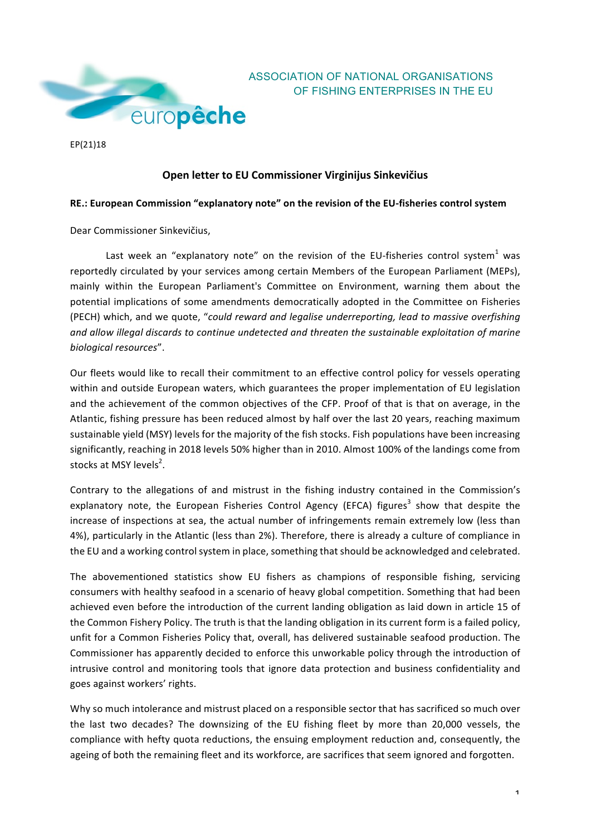

EP(21)18

## **Open letter to EU Commissioner Virginijus Sinkevičius**

OF FISHING ENTERPRISES IN THE EU

## RE.: European Commission "explanatory note" on the revision of the EU-fisheries control system

Dear Commissioner Sinkevičius,

Last week an "explanatory note" on the revision of the EU-fisheries control system<sup>1</sup> was reportedly circulated by your services among certain Members of the European Parliament (MEPs), mainly within the European Parliament's Committee on Environment, warning them about the potential implications of some amendments democratically adopted in the Committee on Fisheries (PECH) which, and we quote, "could reward and legalise underreporting, lead to massive overfishing and allow illegal discards to continue undetected and threaten the sustainable exploitation of marine *biological resources*".

Our fleets would like to recall their commitment to an effective control policy for vessels operating within and outside European waters, which guarantees the proper implementation of EU legislation and the achievement of the common objectives of the CFP. Proof of that is that on average, in the Atlantic, fishing pressure has been reduced almost by half over the last 20 years, reaching maximum sustainable yield (MSY) levels for the majority of the fish stocks. Fish populations have been increasing significantly, reaching in 2018 levels 50% higher than in 2010. Almost 100% of the landings come from stocks at MSY levels<sup>2</sup>.

Contrary to the allegations of and mistrust in the fishing industry contained in the Commission's explanatory note, the European Fisheries Control Agency (EFCA) figures<sup>3</sup> show that despite the increase of inspections at sea, the actual number of infringements remain extremely low (less than 4%), particularly in the Atlantic (less than 2%). Therefore, there is already a culture of compliance in the EU and a working control system in place, something that should be acknowledged and celebrated.

The abovementioned statistics show EU fishers as champions of responsible fishing, servicing consumers with healthy seafood in a scenario of heavy global competition. Something that had been achieved even before the introduction of the current landing obligation as laid down in article 15 of the Common Fishery Policy. The truth is that the landing obligation in its current form is a failed policy, unfit for a Common Fisheries Policy that, overall, has delivered sustainable seafood production. The Commissioner has apparently decided to enforce this unworkable policy through the introduction of intrusive control and monitoring tools that ignore data protection and business confidentiality and goes against workers' rights.

Why so much intolerance and mistrust placed on a responsible sector that has sacrificed so much over the last two decades? The downsizing of the EU fishing fleet by more than 20,000 vessels, the compliance with hefty quota reductions, the ensuing employment reduction and, consequently, the ageing of both the remaining fleet and its workforce, are sacrifices that seem ignored and forgotten.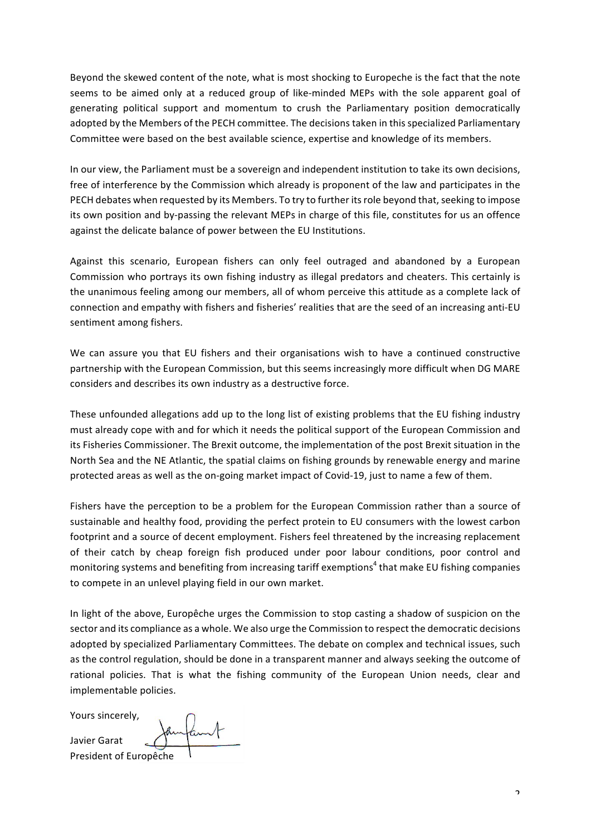Beyond the skewed content of the note, what is most shocking to Europeche is the fact that the note seems to be aimed only at a reduced group of like-minded MEPs with the sole apparent goal of generating political support and momentum to crush the Parliamentary position democratically adopted by the Members of the PECH committee. The decisions taken in this specialized Parliamentary Committee were based on the best available science, expertise and knowledge of its members.

In our view, the Parliament must be a sovereign and independent institution to take its own decisions, free of interference by the Commission which already is proponent of the law and participates in the PECH debates when requested by its Members. To try to further its role beyond that, seeking to impose its own position and by-passing the relevant MEPs in charge of this file, constitutes for us an offence against the delicate balance of power between the EU Institutions.

Against this scenario, European fishers can only feel outraged and abandoned by a European Commission who portrays its own fishing industry as illegal predators and cheaters. This certainly is the unanimous feeling among our members, all of whom perceive this attitude as a complete lack of connection and empathy with fishers and fisheries' realities that are the seed of an increasing anti-EU sentiment among fishers.

We can assure you that EU fishers and their organisations wish to have a continued constructive partnership with the European Commission, but this seems increasingly more difficult when DG MARE considers and describes its own industry as a destructive force.

These unfounded allegations add up to the long list of existing problems that the EU fishing industry must already cope with and for which it needs the political support of the European Commission and its Fisheries Commissioner. The Brexit outcome, the implementation of the post Brexit situation in the North Sea and the NE Atlantic, the spatial claims on fishing grounds by renewable energy and marine protected areas as well as the on-going market impact of Covid-19, just to name a few of them.

Fishers have the perception to be a problem for the European Commission rather than a source of sustainable and healthy food, providing the perfect protein to EU consumers with the lowest carbon footprint and a source of decent employment. Fishers feel threatened by the increasing replacement of their catch by cheap foreign fish produced under poor labour conditions, poor control and monitoring systems and benefiting from increasing tariff exemptions<sup>4</sup> that make EU fishing companies to compete in an unlevel playing field in our own market.

In light of the above, Europêche urges the Commission to stop casting a shadow of suspicion on the sector and its compliance as a whole. We also urge the Commission to respect the democratic decisions adopted by specialized Parliamentary Committees. The debate on complex and technical issues, such as the control regulation, should be done in a transparent manner and always seeking the outcome of rational policies. That is what the fishing community of the European Union needs, clear and implementable policies.

Yours sincerely,

Javier Garat President of Europêche